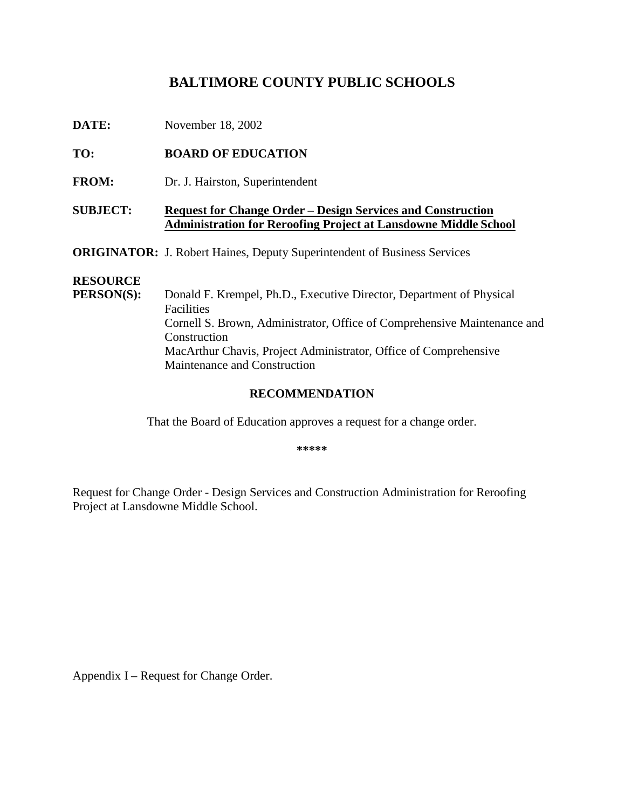# BALTIMORE COUNTY PUBLICS CHOOLS

| November18,2002 |
|-----------------|
|                 |

# TO: **BOARDOFEDUCATION**

FROM: Dr.J. Hairston, Superintendent

## **SUBJECT:** Requestfor Change Order – Design Services and Construction **Administration for Reroofing Project at Lansdowne Middle School**

**ORIGINATOR:** J.RobertHaines, Deputy Superintendent of Business Services

#### **RESOURCE**

**PERSON(S):** Donald F. Krempel, Ph.D., Executive Director, Department of Physical **Facilities** Cornell S. Brown, Administrator, Office of Comprehensive Maintenance and Construction MacArthurChavis, ProjectAdministrator, Office of Comprehensive Maintenance and Construction

#### **RECOMMENDATION**

That the Board of Education approves a request for a change order.

**\*\*\*\*\***

Requestfor Change Order - Design Services and Constru ction Administration for Reroofing ProjectatLansdowneMiddleSchool.

Appendix I – Requestfor Change Order.